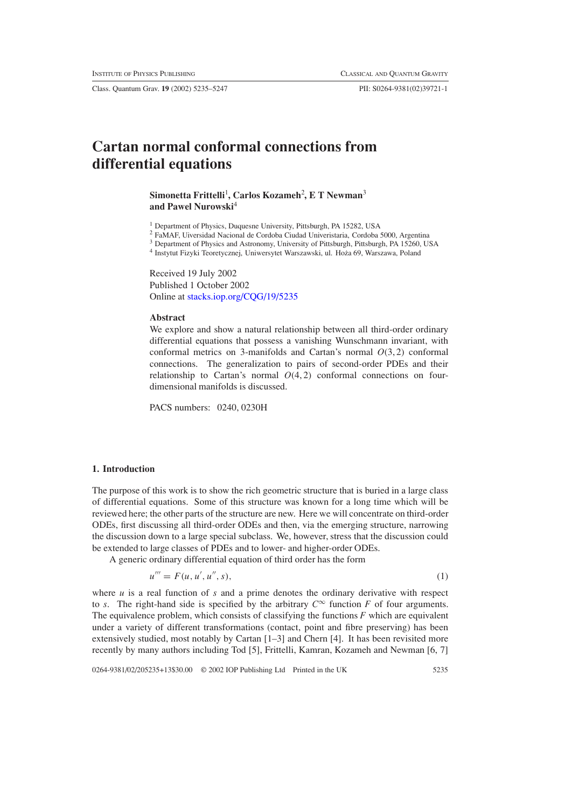Class. Quantum Grav. **19** (2002) 5235–5247 PII: S0264-9381(02)39721-1

# **Cartan normal conformal connections from differential equations**

## **Simonetta Frittelli**<sup>1</sup> **, Carlos Kozameh**<sup>2</sup> **, E T Newman**<sup>3</sup> **and Pawel Nurowski**<sup>4</sup>

<sup>1</sup> Department of Physics, Duquesne University, Pittsburgh, PA 15282, USA

<sup>2</sup> FaMAF, Uiversidad Nacional de Cordoba Ciudad Univeristaria, Cordoba 5000, Argentina

<sup>3</sup> Department of Physics and Astronomy, University of Pittsburgh, Pittsburgh, PA 15260, USA

<sup>4</sup> Instytut Fizyki Teoretycznej, Uniwersytet Warszawski, ul. Hoza 69, Warszawa, Poland ˙

Received 19 July 2002 Published 1 October 2002 Online at [stacks.iop.org/CQG/19/5235](http://stacks.iop.org/cq/19/5235)

#### **Abstract**

We explore and show a natural relationship between all third-order ordinary differential equations that possess a vanishing Wunschmann invariant, with conformal metrics on 3-manifolds and Cartan's normal *O*(3, 2) conformal connections. The generalization to pairs of second-order PDEs and their relationship to Cartan's normal  $O(4, 2)$  conformal connections on fourdimensional manifolds is discussed.

PACS numbers: 0240, 0230H

#### **1. Introduction**

The purpose of this work is to show the rich geometric structure that is buried in a large class of differential equations. Some of this structure was known for a long time which will be reviewed here; the other parts of the structure are new. Here we will concentrate on third-order ODEs, first discussing all third-order ODEs and then, via the emerging structure, narrowing the discussion down to a large special subclass. We, however, stress that the discussion could be extended to large classes of PDEs and to lower- and higher-order ODEs.

<span id="page-0-0"></span>A generic ordinary differential equation of third order has the form

$$
u''' = F(u, u', u'', s),
$$
 (1)

where  $u$  is a real function of  $s$  and a prime denotes the ordinary derivative with respect to *s*. The right-hand side is specified by the arbitrary  $C^{\infty}$  function *F* of four arguments. The equivalence problem, which consists of classifying the functions *F* which are equivalent under a variety of different transformations (contact, point and fibre preserving) has been extensively studied, most notably by Cartan [1–3] and Chern [4]. It has been revisited more recently by many authors including Tod [5], Frittelli, Kamran, Kozameh and Newman [6, 7]

0264-9381/02/205235+13\$30.00 © 2002 IOP Publishing Ltd Printed in the UK 5235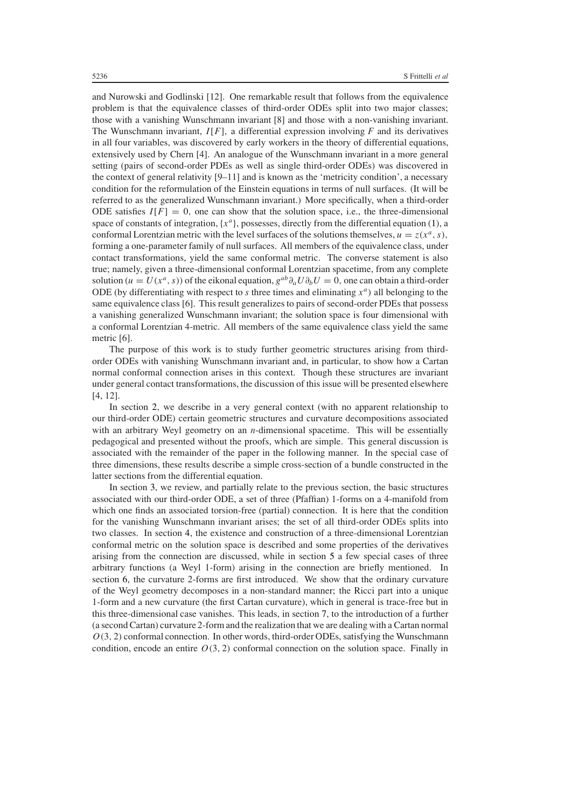and Nurowski and Godlinski [12]. One remarkable result that follows from the equivalence problem is that the equivalence classes of third-order ODEs split into two major classes; those with a vanishing Wunschmann invariant [8] and those with a non-vanishing invariant. The Wunschmann invariant,  $I[F]$ , a differential expression involving  $F$  and its derivatives in all four variables, was discovered by early workers in the theory of differential equations, extensively used by Chern [4]. An analogue of the Wunschmann invariant in a more general setting (pairs of second-order PDEs as well as single third-order ODEs) was discovered in the context of general relativity  $[9-11]$  and is known as the 'metricity condition', a necessary condition for the reformulation of the Einstein equations in terms of null surfaces. (It will be referred to as the generalized Wunschmann invariant.) More specifically, when a third-order ODE satisfies  $I[F] = 0$ , one can show that the solution space, i.e., the three-dimensional space of constants of integration,  $\{x^a\}$ , possesses, directly from the differential equation [\(1\)](#page-0-0), a conformal Lorentzian metric with the level surfaces of the solutions themselves,  $u = z(x^a, s)$ , forming a one-parameter family of null surfaces. All members of the equivalence class, under contact transformations, yield the same conformal metric. The converse statement is also true; namely, given a three-dimensional conformal Lorentzian spacetime, from any complete solution ( $u = U(x^a, s)$ ) of the eikonal equation,  $g^{ab}\partial_a U \partial_b U = 0$ , one can obtain a third-order ODE (by differentiating with respect to *s* three times and eliminating  $x^a$ ) all belonging to the same equivalence class [6]. This result generalizes to pairs of second-order PDEs that possess a vanishing generalized Wunschmann invariant; the solution space is four dimensional with a conformal Lorentzian 4-metric. All members of the same equivalence class yield the same metric [6].

The purpose of this work is to study further geometric structures arising from thirdorder ODEs with vanishing Wunschmann invariant and, in particular, to show how a Cartan normal conformal connection arises in this context. Though these structures are invariant under general contact transformations, the discussion of this issue will be presented elsewhere [4, 12].

In section [2,](#page-2-0) we describe in a very general context (with no apparent relationship to our third-order ODE) certain geometric structures and curvature decompositions associated with an arbitrary Weyl geometry on an *n*-dimensional spacetime. This will be essentially pedagogical and presented without the proofs, which are simple. This general discussion is associated with the remainder of the paper in the following manner. In the special case of three dimensions, these results describe a simple cross-section of a bundle constructed in the latter sections from the differential equation.

In section [3,](#page-4-0) we review, and partially relate to the previous section, the basic structures associated with our third-order ODE, a set of three (Pfaffian) 1-forms on a 4-manifold from which one finds an associated torsion-free (partial) connection. It is here that the condition for the vanishing Wunschmann invariant arises; the set of all third-order ODEs splits into two classes. In section [4,](#page-6-0) the existence and construction of a three-dimensional Lorentzian conformal metric on the solution space is described and some properties of the derivatives arising from the connection are discussed, while in section [5](#page-6-1) a few special cases of three arbitrary functions (a Weyl 1-form) arising in the connection are briefly mentioned. In section [6,](#page-7-0) the curvature 2-forms are first introduced. We show that the ordinary curvature of the Weyl geometry decomposes in a non-standard manner; the Ricci part into a unique 1-form and a new curvature (the first Cartan curvature), which in general is trace-free but in this three-dimensional case vanishes. This leads, in section [7,](#page-9-0) to the introduction of a further (a second Cartan) curvature 2-form and the realization that we are dealing with a Cartan normal *O(*3*,* <sup>2</sup>*)* conformal connection. In other words, third-order ODEs, satisfying the Wunschmann condition, encode an entire  $O(3, 2)$  conformal connection on the solution space. Finally in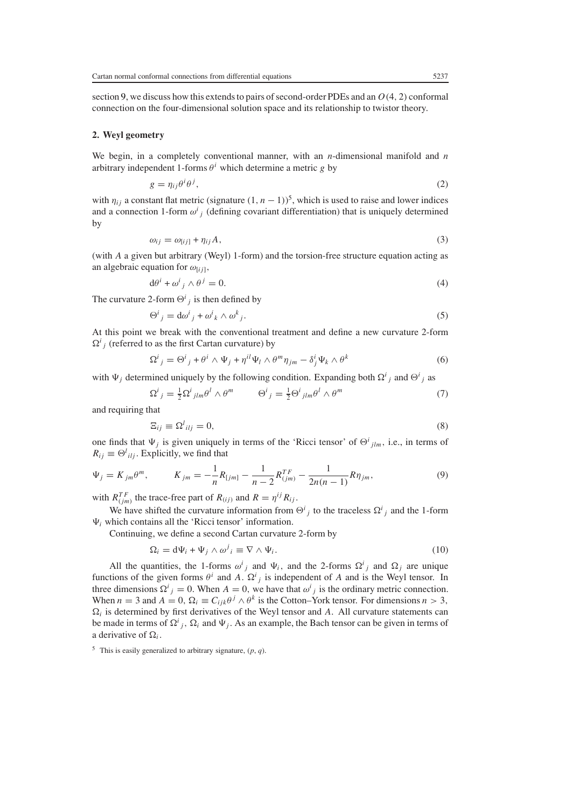section [9,](#page-10-0) we discuss how this extends to pairs of second-order PDEs and an *O(*4*,* <sup>2</sup>*)* conformal connection on the four-dimensional solution space and its relationship to twistor theory.

#### <span id="page-2-0"></span>**2. Weyl geometry**

We begin, in a completely conventional manner, with an *n*-dimensional manifold and *n* arbitrary independent 1-forms  $\theta^i$  which determine a metric *g* by

$$
g = \eta_{ij}\theta^i\theta^j,\tag{2}
$$

<span id="page-2-1"></span>with  $\eta_{ij}$  a constant flat metric (signature  $(1, n - 1)$ )<sup>5</sup>, which is used to raise and lower indices and a connection 1-form  $\omega^i_j$  (defining covariant differentiation) that is uniquely determined<br>by by

$$
\omega_{ij} = \omega_{[ij]} + \eta_{ij}A,\tag{3}
$$

(with *A* a given but arbitrary (Weyl) 1-form) and the torsion-free structure equation acting as an algebraic equation for  $\omega_{[ij]}$ ,<br> $d\theta^i + \omega^i{}_i \wedge \theta^j$ 

$$
d\theta^i + \omega^i{}_j \wedge \theta^j = 0. \tag{4}
$$

The curvature 2-form  $\Theta^i_j$  is then defined by

$$
\Theta^i{}_j = d\omega^i{}_j + \omega^i{}_k \wedge \omega^k{}_j. \tag{5}
$$

At this point we break with the conventional treatment and define a new curvature 2-form  $\Omega^{i}$ <sub>*j*</sub> (referred to as the first Cartan curvature) by

$$
\Omega^{i}{}_{j} = \Theta^{i}{}_{j} + \theta^{i} \wedge \Psi_{j} + \eta^{il} \Psi_{l} \wedge \theta^{m} \eta_{jm} - \delta^{i}{}_{j} \Psi_{k} \wedge \theta^{k}
$$
(6)

with  $\Psi_j$  determined uniquely by the following condition. Expanding both  $\Omega^i_j$  and  $\Theta^i_j$  as

$$
\Omega^{i}{}_{j} = \frac{1}{2} \Omega^{i}{}_{jlm} \theta^{l} \wedge \theta^{m} \qquad \Theta^{i}{}_{j} = \frac{1}{2} \Theta^{i}{}_{jlm} \theta^{l} \wedge \theta^{m} \tag{7}
$$

and requiring that

$$
\Xi_{ij} \equiv \Omega^l_{\;ilj} = 0,\tag{8}
$$

one finds that  $\Psi_j$  is given uniquely in terms of the 'Ricci tensor' of  $\Theta^i_{jlm}$ , i.e., in terms of  $B_i := \Theta^i_{jkl}$ . Explicitly we find that  $R_{ij} \equiv \Theta^l_{ilj}$ . Explicitly, we find that

<span id="page-2-2"></span>
$$
\Psi_j = K_{jm} \theta^m, \qquad K_{jm} = -\frac{1}{n} R_{[jm]} - \frac{1}{n-2} R_{(jm)}^{TF} - \frac{1}{2n(n-1)} R \eta_{jm}, \qquad (9)
$$

with  $R_{(j,m)}^{TF}$  the trace-free part of  $R_{(ij)}$  and  $R = \eta^{ij} R_{ij}$ .

We have shifted the curvature information from  $\Theta^i_j$  to the traceless  $\Omega^i_j$  and the 1-form<br>thich contains all the 'Ricci tensor' information  $\Psi_i$  which contains all the 'Ricci tensor' information.

Continuing, we define a second Cartan curvature 2-form by

$$
\Omega_i = d\Psi_i + \Psi_j \wedge \omega^j{}_i \equiv \nabla \wedge \Psi_i. \tag{10}
$$

All the quantities, the 1-forms  $\omega^i{}_j$  and  $\Psi_i$ , and the 2-forms  $\Omega^i{}_j$  and  $\Omega_j$  are unique tions of the given forms  $\theta^i{}_j$  and  $A = \Omega^i{}_j$ , is independent of A and is the Weyl tensor. In functions of the given forms  $\theta^i$  and *A*.  $\Omega^i{}_j$  is independent of *A* and is the Weyl tensor. In three dimensions  $Q^i{}_j = 0$ . When  $A = 0$ , we have that  $\omega^i{}_j$  is the ordinary metric connection three dimensions  $\Omega^i{}_j = 0$ . When  $A = 0$ , we have that  $\omega^i{}_j$  is the ordinary metric connection.<br>When  $n = 3$  and  $A = 0$ ,  $\Omega_i = C_{i,j} \theta^j \wedge \theta^k$  is the Cotton–York tensor. For dimensions  $n > 3$ . When  $n = 3$  and  $A = 0$ ,  $\Omega_i \equiv C_{ijk}\theta^j \wedge \theta^k$  is the Cotton–York tensor. For dimensions  $n > 3$ ,  $\Omega_i$  is determined by first derivatives of the Weyl tensor and *A*. All curvature statements can be made in terms of  $\Omega^i_j$ ,  $\Omega_i$  and  $\Psi_j$ . As an example, the Bach tensor can be given in terms of a derivative of  $\Omega$ . a derivative of  $\Omega_i$ .

<sup>5</sup> This is easily generalized to arbitrary signature,  $(p, q)$ .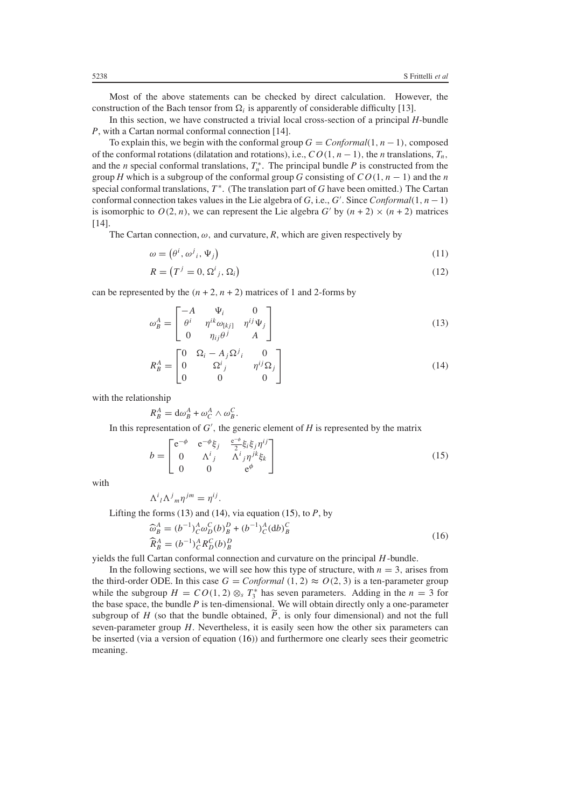Most of the above statements can be checked by direct calculation. However, the construction of the Bach tensor from  $\Omega_i$  is apparently of considerable difficulty [13].

In this section, we have constructed a trivial local cross-section of a principal *H*-bundle *P*, with a Cartan normal conformal connection [14].

To explain this, we begin with the conformal group  $G = Conformal(1, n - 1)$ , composed of the conformal rotations (dilatation and rotations), i.e.,  $CO(1, n-1)$ , the *n* translations,  $T_n$ , and the *n* special conformal translations,  $T_n^*$ . The principal bundle *P* is constructed from the property  $H$  which is a subgroup of the conformal group *G* consisting of  $CQ(1, n-1)$  and the *n* group *H* which is a subgroup of the conformal group *G* consisting of  $CO(1, n - 1)$  and the *n* special conformal translations,  $T^*$ . (The translation part of *G* have been omitted.) The Cartan conformal connection takes values in the Lie algebra of *G*, i.e., *G'*. Since *Conformal*(1, *n* − 1) is isomorphic to  $O(2, n)$ , we can represent the Lie algebra  $G'$  by  $(n + 2) \times (n + 2)$  matrices is isomorphic to  $O(2, n)$ , we can represent the Lie algebra  $G'$  by  $(n + 2) \times (n + 2)$  matrices [14].

<span id="page-3-4"></span>The Cartan connection,  $\omega$ , and curvature,  $R$ , which are given respectively by

$$
\omega = (\theta^i, \omega^j{}_i, \Psi_j) \tag{11}
$$

$$
R = (Tj = 0, \Omegai_{j}, \Omegai)
$$
\n(12)

<span id="page-3-0"></span>can be represented by the  $(n + 2, n + 2)$  matrices of 1 and 2-forms by

$$
\omega_B^A = \begin{bmatrix} -A & \Psi_i & 0\\ \theta^i & \eta^{ik}\omega_{[kj]} & \eta^{ij}\Psi_j\\ 0 & \eta_{ij}\theta^j & A \end{bmatrix}
$$
 (13)

$$
R_B^A = \begin{bmatrix} 0 & \Omega_i - A_j \Omega^j{}_i & 0 \\ 0 & \Omega^i{}_j & \eta^{ij} \Omega_j \\ 0 & 0 & 0 \end{bmatrix}
$$
 (14)

<span id="page-3-1"></span>with the relationship

$$
R_B^A = \mathrm{d}\omega_B^A + \omega_C^A \wedge \omega_B^C
$$

*RA B* <sup>=</sup> <sup>d</sup>*ω<sup>A</sup> B* <sup>+</sup> *<sup>ω</sup><sup>A</sup> C* <sup>∧</sup> *<sup>ω</sup><sup>C</sup> B .* In this representation of *G ,* the generic element of *<sup>H</sup>* is represented by the matrix

$$
b = \begin{bmatrix} e^{-\phi} & e^{-\phi}\xi_j & \frac{e^{-\phi}}{2}\xi_i\xi_j\eta^{ij} \\ 0 & \Lambda^i{}_j & \Lambda^i{}_j\eta^{jk}\xi_k \\ 0 & 0 & e^{\phi} \end{bmatrix}
$$
(15)

<span id="page-3-2"></span>with

$$
\Lambda^i{}_l \Lambda^j{}_m \eta^{jm} = \eta^{ij}
$$

Lifting the forms [\(13\)](#page-3-0) and [\(14\)](#page-3-1), via equation [\(15\)](#page-3-2), to *P*, by

<span id="page-3-3"></span>
$$
\widehat{\omega}_{B}^{A} = (b^{-1})_{C}^{A} \omega_{D}^{C} (b)_{B}^{D} + (b^{-1})_{C}^{A} (db)_{B}^{C}
$$
\n
$$
\widehat{R}_{B}^{A} = (b^{-1})_{C}^{A} R_{D}^{C} (b)_{B}^{D}
$$
\nyields the full Cartan conformal connection and curvature on the principal *H*-bundle.

\nIn the following sections, we will see how this type of structure, with  $n = 3$ , arises from

In the following sections, we will see how this type of structure, with  $n = 3$ , arises from the third-order ODE. In this case  $G = Conformal (1, 2) \approx O(2, 3)$  is a ten-parameter group while the subgroup  $H = CO(1, 2) \otimes_{S} T_{3}^{*}$  has seven parameters. Adding in the  $n = 3$  for the base space, the bundle *P* is ten-dimensional. We will obtain directly only a one-parameter the base space, the bundle *P* is ten-dimensional. We will obtain directly only a one-parameter subgroup of *H* (so that the bundle obtained,  $\tilde{P}$ , is only four dimensional) and not the full seven-parameter group  $H$ . Nevertheless, it is easily seen how the other six parameters can be inserted (via a version of equation [\(16\)](#page-3-3)) and furthermore one clearly sees their geometric meaning.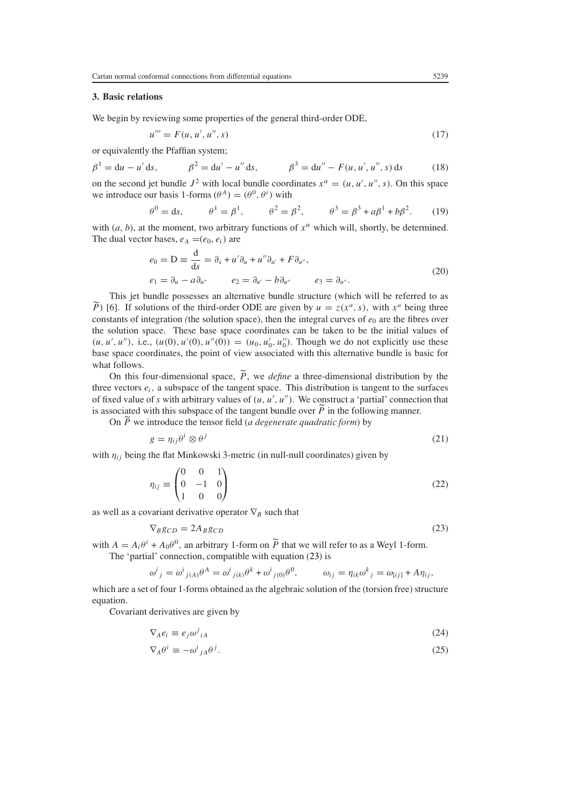## <span id="page-4-0"></span>**3. Basic relations**

We begin by reviewing some properties of the general third-order ODE,

$$
u''' = F(u, u', u'', s) \tag{17}
$$

or equivalently the Pfaffian system;

$$
\beta^1 = du - u' ds, \qquad \beta^2 = du' - u'' ds, \qquad \beta^3 = du'' - F(u, u', u'', s) ds \qquad (18)
$$

<span id="page-4-2"></span>on the second jet bundle  $J^2$  with local bundle coordinates  $x^\alpha = (u, u', u'', s)$ . On this space we introduce our basis 1-forms  $(A^A) = (a^0, a^i)$  with we introduce our basis 1-forms  $(\theta^A) = (\theta^0, \theta^i)$  with

$$
\theta^0 = ds,
$$
  $\theta^1 = \beta^1,$   $\theta^2 = \beta^2,$   $\theta^3 = \beta^3 + a\beta^1 + b\beta^2.$  (19)

with (*a*, *b*), at the moment, two arbitrary functions of  $x^{\alpha}$  which will, shortly, be determined.<br>The dual vector bases  $e_x = (e_0, e_1)$  are The dual vector bases,  $e_A = (e_0, e_i)$  are

$$
e_0 = D \equiv \frac{d}{ds} = \partial_s + u' \partial_u + u'' \partial_{u'} + F \partial_{u''},
$$
  
\n
$$
e_1 = \partial_u - a \partial_{u''} \qquad e_2 = \partial_{u'} - b \partial_{u''} \qquad e_3 = \partial_{u''}.
$$
\n(20)

This jet bundle possesses an alternative bundle structure (which will be referred to as  $\widetilde{P}$ ) [6]. If solutions of the third-order ODE are given by  $u = z(x^a, s)$ , with  $x^a$  being three constants of integration *(the solution space)*, then the integral curves of  $e_0$  are the fibres over the solution space. These base space coordinates can be taken to be the initial values of  $(u, u', u'')$ , i.e.,  $(u(0), u'(0), u''(0)) = (u_0, u'_0, u''_0)$ . Though we do not explicitly use these hase space coordinates the point of view associated with this alternative bundle is basic for base space coordinates, the point of view associated with this alternative bundle is basic for what follows.

On this four-dimensional space,  $P$ , we *define* a three-dimensional distribution by the our contract  $P$ , we change to the surfaces three vectors *ei,* a subspace of the tangent space. This distribution is tangent to the surfaces of fixed value of *s* with arbitrary values of  $(u, u', u'')$ . We construct a 'partial' connection that is associated with this subspace of the tangent bundle over  $\tilde{P}$  in the following manner is associated with this subspace of the tangent bundle over *P* in the following manner.<br>On  $\tilde{P}$  we introduce the tensor field (a degenerate quadratic form) by

<span id="page-4-3"></span>On *P* we introduce the tensor field (*a degenerate quadratic form*) by

$$
g = \eta_{ij}\theta^i \otimes \theta^j \tag{21}
$$

with *ηij* being the flat Minkowski 3-metric (in null-null coordinates) given by

$$
\eta_{ij} \equiv \begin{pmatrix} 0 & 0 & 1 \\ 0 & -1 & 0 \\ 1 & 0 & 0 \end{pmatrix} \tag{22}
$$

<span id="page-4-1"></span>as well as a covariant derivative operator <sup>∇</sup>*B* such that

$$
\nabla_B g_{CD} = 2A_B g_{CD} \tag{23}
$$

with  $A = A_i \theta^i + A_0 \theta^0$ , an arbitrary 1-form on  $\tilde{P}$  that we will refer to as a Weyl 1-form.<br>The 'partial' connection compatible with equation (23) is The 'partial' connection, compatible with equation [\(23\)](#page-4-1) is

$$
\omega^i{}_j = \omega^i{}_{j(A)}\theta^A = \omega^i{}_{j(k)}\theta^k + \omega^i{}_{j(0)}\theta^0, \qquad \omega_{ij} = \eta_{ik}\omega^k{}_j = \omega_{[ij]} + A\eta_{ij},
$$

which are a set of four 1-forms obtained as the algebraic solution of the (torsion free) structure equation.

<span id="page-4-5"></span><span id="page-4-4"></span>Covariant derivatives are given by

$$
\nabla_A e_i \equiv e_j \omega^j{}_{iA} \tag{24}
$$

$$
\nabla_A \theta^i \equiv -\omega^i{}_{jA} \theta^j. \tag{25}
$$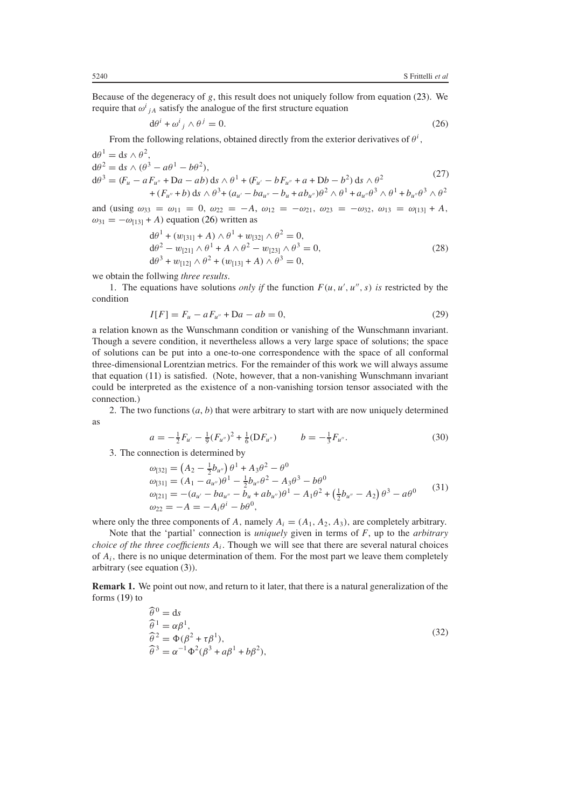<span id="page-5-0"></span>Because of the degeneracy of *g*, this result does not uniquely follow from equation [\(23\)](#page-4-1). We require that  $\omega^{i}{}_{jA}$  satisfy the analogue of the first structure equation

$$
d\theta^i + \omega^i{}_j \wedge \theta^j = 0. \tag{26}
$$

From the following relations, obtained directly from the exterior derivatives of  $\theta^i$ ,

$$
d\theta^{1} = ds \wedge \theta^{2},
$$
  
\n
$$
d\theta^{2} = ds \wedge (\theta^{3} - a\theta^{1} - b\theta^{2}),
$$
  
\n
$$
d\theta^{3} = (F_{u} - aF_{u''} + Da - ab) ds \wedge \theta^{1} + (F_{u'} - bF_{u''} + a + Db - b^{2}) ds \wedge \theta^{2}
$$
  
\n
$$
+ (F_{u''} + b) ds \wedge \theta^{3} + (a_{u'} - ba_{u''} - b_{u} + ab_{u''})\theta^{2} \wedge \theta^{1} + a_{u''}\theta^{3} \wedge \theta^{1} + b_{u''}\theta^{3} \wedge \theta^{2}
$$
\n(27)

and (using  $\omega_{33} = \omega_{11} = 0$ ,  $\omega_{22} = -A$ ,  $\omega_{12} = -\omega_{21}$ ,  $\omega_{23} = -\omega_{32}$ ,  $\omega_{13} = \omega_{[13]} + A$ ,  $\omega_{13} = -\omega_{13} + A$ ) equation (26) written as  $\omega_{31} = -\omega_{13} + A$ ) equation [\(26\)](#page-5-0) written as

$$
d\theta^{1} + (w_{[31]} + A) \wedge \theta^{1} + w_{[32]} \wedge \theta^{2} = 0,d\theta^{2} - w_{[21]} \wedge \theta^{1} + A \wedge \theta^{2} - w_{[23]} \wedge \theta^{3} = 0,d\theta^{3} + w_{[12]} \wedge \theta^{2} + (w_{[13]} + A) \wedge \theta^{3} = 0,
$$
\n(28)

we obtain the follwing *three results*.

<span id="page-5-1"></span>1. The equations have solutions *only if* the function  $F(u, u', u'', s)$  *is* restricted by the lition condition

$$
I[F] = F_u - aF_{u''} + Da - ab = 0,
$$
\n(29)

a relation known as the Wunschmann condition or vanishing of the Wunschmann invariant. Though a severe condition, it nevertheless allows a very large space of solutions; the space of solutions can be put into a one-to-one correspondence with the space of all conformal three-dimensional Lorentzian metrics. For the remainder of this work we will always assume that equation [\(11\)](#page-3-4) is satisfied. (Note, however, that a non-vanishing Wunschmann invariant could be interpreted as the existence of a non-vanishing torsion tensor associated with the connection.)

2. The two functions  $(a, b)$  that were arbitrary to start with are now uniquely determined as

$$
a = -\frac{1}{2}F_{u'} - \frac{1}{9}(F_{u''})^2 + \frac{1}{6}(DF_{u''}) \qquad b = -\frac{1}{3}F_{u''}.
$$
 (30)

3. The connection is determined by

$$
\begin{aligned}\n\omega_{[32]} &= \left(A_2 - \frac{1}{2}b_{u''}\right)\theta^1 + A_3\theta^2 - \theta^0 \\
\omega_{[31]} &= (A_1 - a_{u''})\theta^1 - \frac{1}{2}b_{u''}\theta^2 - A_3\theta^3 - b\theta^0 \\
\omega_{[21]} &= -(a_{u'} - ba_{u''} - b_u + ab_{u''})\theta^1 - A_1\theta^2 + \left(\frac{1}{2}b_{u''} - A_2\right)\theta^3 - a\theta^0 \\
\omega_{22} &= -A = -A_i\theta^i - b\theta^0,\n\end{aligned}\n\tag{31}
$$

 $\omega_{22} = -A = -A_i \theta^i - b\theta^0$ ,<br>where only the three components of *A*, namely  $A_i = (A_1, A_2, A_3)$ , are completely arbitrary.<br>Note that the 'partial' connection is *uniquely* given in terms of *E*, up to the *arbitrary*.

Note that the 'partial' connection is *uniquely* given in terms of *F*, up to the *arbitrary choice of the three coefficients Ai.* Though we will see that there are several natural choices of *Ai,* there is no unique determination of them. For the most part we leave them completely arbitrary (see equation [\(3\)](#page-2-1)).

<span id="page-5-2"></span>**Remark 1.** We point out now, and return to it later, that there is a natural generalization of the forms [\(19\)](#page-4-2) to

$$
\widehat{\theta}^{0} = ds\n\widehat{\theta}^{1} = \alpha \beta^{1},\n\widehat{\theta}^{2} = \Phi(\beta^{2} + \tau \beta^{1}),\n\widehat{\theta}^{3} = \alpha^{-1} \Phi^{2}(\beta^{3} + a\beta^{1} + b\beta^{2}),
$$
\n(32)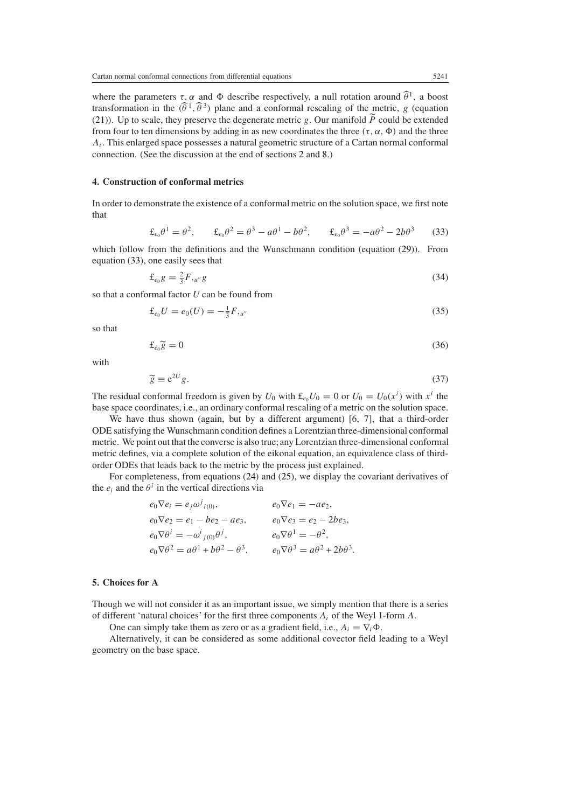where the parameters  $\tau$ ,  $\alpha$  and  $\Phi$  describe respectively, a null rotation around  $\hat{\theta}^1$ , a boost transformation in the  $(\hat{\theta}^1, \hat{\theta}^3)$  plane and a conformal rescaling of the metric, *g* (equation [\(21\)](#page-4-3)). Up to scale, they preserve the degenerate metric *g*. Our manifold *P* could be extended from four to ten dimensions by adding in as new coordinates the three  $(\tau, \alpha, \Phi)$  and the three from four to ten dimensions by adding in as new coordinates the three  $(\tau, \alpha, \Phi)$  and the three *Ai.* This enlarged space possesses a natural geometric structure of a Cartan normal conformal connection. (See the discussion at the end of sections [2](#page-2-0) and [8.](#page-9-1))

# <span id="page-6-0"></span>**4. Construction of conformal metrics**

<span id="page-6-2"></span>In order to demonstrate the existence of a conformal metric on the solution space, we first note that

$$
\pounds_{e_0}\theta^1 = \theta^2, \qquad \pounds_{e_0}\theta^2 = \theta^3 - a\theta^1 - b\theta^2, \qquad \pounds_{e_0}\theta^3 = -a\theta^2 - 2b\theta^3 \tag{33}
$$

which follow from the definitions and the Wunschmann condition (equation [\(29\)](#page-5-1)). From equation [\(33\)](#page-6-2), one easily sees that

$$
\pounds_{e_0} g = \frac{2}{3} F, u'' g \tag{34}
$$

so that a conformal factor *U* can be found from

$$
\pounds_{e_0} U = e_0(U) = -\frac{1}{3} F_{\mu''}
$$
\n(35)

so that

$$
\pounds_{e_0} \widetilde{g} = 0 \tag{36}
$$

with

$$
\widetilde{g} = e^{2U} g. \tag{37}
$$

The residual conformal freedom is given by  $U_0$  with  $\mathcal{L}_{e_0}U_0 = 0$  or  $U_0 = U_0(x^i)$  with  $x^i$  the base space coordinates i.e., an ordinary conformal rescaling of a metric on the solution space. base space coordinates, i.e., an ordinary conformal rescaling of a metric on the solution space.

We have thus shown (again, but by a different argument) [6, 7], that a third-order ODE satisfying the Wunschmann condition defines a Lorentzian three-dimensional conformal metric. We point out that the converse is also true; any Lorentzian three-dimensional conformal metric defines, via a complete solution of the eikonal equation, an equivalence class of thirdorder ODEs that leads back to the metric by the process just explained.

For completeness, from equations [\(24\)](#page-4-4) and [\(25\)](#page-4-5), we display the covariant derivatives of the  $e_i$  and the  $\theta^i$  in the vertical directions via

$$
e_0 \nabla e_i = e_j \omega^j_{i(0)}, \qquad e_0 \nabla e_1 = -ae_2,
$$
  
\n
$$
e_0 \nabla e_2 = e_1 - be_2 - ae_3, \qquad e_0 \nabla e_3 = e_2 - 2be_3,
$$
  
\n
$$
e_0 \nabla \theta^i = -\omega^i_{j(0)} \theta^j, \qquad e_0 \nabla \theta^1 = -\theta^2,
$$
  
\n
$$
e_0 \nabla \theta^2 = a\theta^1 + b\theta^2 - \theta^3, \qquad e_0 \nabla \theta^3 = a\theta^2 + 2b\theta^3.
$$

### <span id="page-6-1"></span>**5. Choices for A**

Though we will not consider it as an important issue, we simply mention that there is a series of different 'natural choices' for the first three components *Ai* of the Weyl 1-form *A.*

One can simply take them as zero or as a gradient field, i.e.,  $A_i = \nabla_i \Phi$ .

Alternatively, it can be considered as some additional covector field leading to a Weyl geometry on the base space.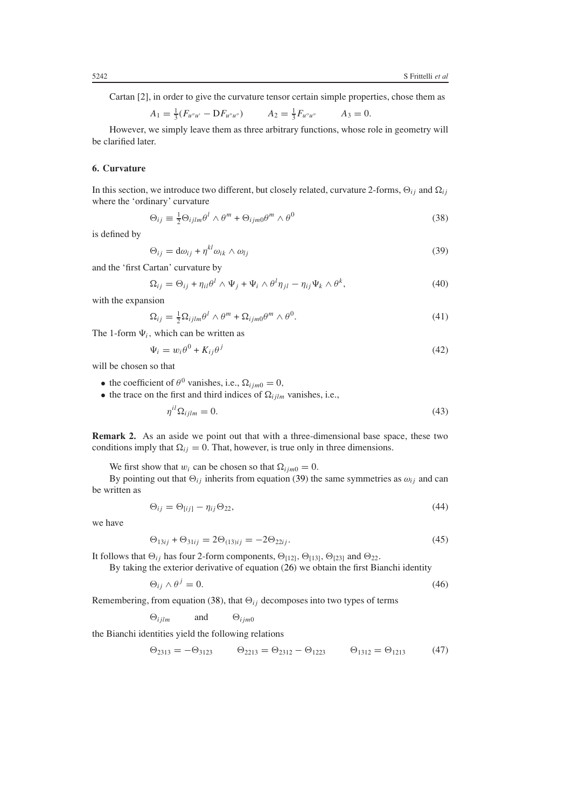Cartan [2], in order to give the curvature tensor certain simple properties, chose them as

$$
A_1 = \frac{1}{3}(F_{u''u'} - DF_{u''u''}) \qquad A_2 = \frac{1}{3}F_{u''u''} \qquad A_3 = 0.
$$

However, we simply leave them as three arbitrary functions, whose role in geometry will be clarified later.

# <span id="page-7-0"></span>**6. Curvature**

<span id="page-7-2"></span>In this section, we introduce two different, but closely related, curvature 2-forms,  $\Theta_{ij}$  and  $\Omega_{ij}$ where the 'ordinary' curvature

$$
\Theta_{ij} \equiv \frac{1}{2} \Theta_{ijlm} \theta^l \wedge \theta^m + \Theta_{ijm0} \theta^m \wedge \theta^0 \tag{38}
$$

<span id="page-7-1"></span>is defined by

$$
\Theta_{ij} = d\omega_{ij} + \eta^{kl}\omega_{ik} \wedge \omega_{lj} \tag{39}
$$

<span id="page-7-3"></span>and the 'first Cartan' curvature by

$$
\Omega_{ij} = \Theta_{ij} + \eta_{il}\theta^l \wedge \Psi_j + \Psi_i \wedge \theta^l \eta_{jl} - \eta_{ij}\Psi_k \wedge \theta^k, \tag{40}
$$

with the expansion

$$
\Omega_{ij} = \frac{1}{2} \Omega_{ijlm} \theta^l \wedge \theta^m + \Omega_{ijm0} \theta^m \wedge \theta^0.
$$
\n(41)

<span id="page-7-4"></span>The 1-form  $\Psi_i$ , which can be written as

$$
\Psi_i = w_i \theta^0 + K_{ij} \theta^j \tag{42}
$$

will be chosen so that

- the coefficient of  $\theta^0$  vanishes, i.e.,  $\Omega_{ijm0} = 0$ ,
- <span id="page-7-5"></span>• the trace on the first and third indices of  $\Omega_{ijlm}$  vanishes, i.e.,

$$
\eta^{il}\Omega_{ijlm} = 0.\tag{43}
$$

**Remark 2.** As an aside we point out that with a three-dimensional base space, these two conditions imply that  $\Omega_{ij} = 0$ . That, however, is true only in three dimensions.

We first show that  $w_i$  can be chosen so that  $\Omega_{ijm0} = 0$ .

By pointing out that  $\Theta_{ij}$  inherits from equation [\(39\)](#page-7-1) the same symmetries as  $\omega_{ij}$  and can be written as

$$
\Theta_{ij} = \Theta_{[ij]} - \eta_{ij}\Theta_{22},\tag{44}
$$

we have

$$
\Theta_{13ij} + \Theta_{31ij} = 2\Theta_{(13)ij} = -2\Theta_{22ij}.
$$
\n(45)

It follows that  $\Theta_{ij}$  has four 2-form components,  $\Theta_{[12]}$ ,  $\Theta_{[13]}$ ,  $\Theta_{[23]}$  and  $\Theta_{22}$ .

By taking the exterior derivative of equation [\(26\)](#page-5-0) we obtain the first Bianchi identity

$$
\Theta_{ij} \wedge \theta^j = 0. \tag{46}
$$

Remembering, from equation [\(38\)](#page-7-2), that  $\Theta_{ij}$  decomposes into two types of terms  $\Theta_{ijlm}$  and  $\Theta_{ijm0}$ 

 $\Theta_{ijm0}$ 

the Bianchi identities yield the following relations

$$
\Theta_{2313} = -\Theta_{3123} \qquad \Theta_{2213} = \Theta_{2312} - \Theta_{1223} \qquad \Theta_{1312} = \Theta_{1213} \tag{47}
$$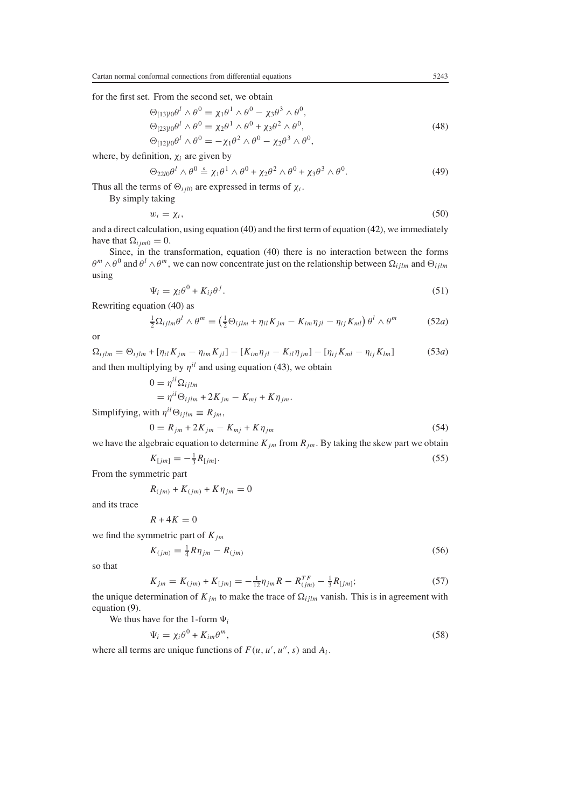for the first set. From the second set, we obtain

$$
\Theta_{[13]l0}\theta^l \wedge \theta^0 = \chi_1 \theta^1 \wedge \theta^0 - \chi_3 \theta^3 \wedge \theta^0, \n\Theta_{[23]l0}\theta^l \wedge \theta^0 = \chi_2 \theta^1 \wedge \theta^0 + \chi_3 \theta^2 \wedge \theta^0, \n\Theta_{[12]l0}\theta^l \wedge \theta^0 = -\chi_1 \theta^2 \wedge \theta^0 - \chi_2 \theta^3 \wedge \theta^0,
$$
\n(48)

where, by definition, *χi* are given by

$$
\Theta_{22l0}\theta^l \wedge \theta^0 \stackrel{\circ}{=} \chi_1\theta^1 \wedge \theta^0 + \chi_2\theta^2 \wedge \theta^0 + \chi_3\theta^3 \wedge \theta^0. \tag{49}
$$

Thus all the terms of  $\Theta_{ijl0}$  are expressed in terms of  $\chi_i$ .<br>By simply taking

$$
w_i = \chi_i,\tag{50}
$$

and a direct calculation, using equation [\(40\)](#page-7-3) and the first term of equation [\(42\)](#page-7-4), we immediately have that  $\Omega_{ijm0} = 0$ .

Since, in the transformation, equation [\(40\)](#page-7-3) there is no interaction between the forms  $\theta^m \wedge \theta^0$  and  $\theta^l \wedge \theta^m$ , we can now concentrate just on the relationship between  $\Omega_{ijlm}$  and  $\Theta_{ijlm}$ using

$$
\Psi_i = \chi_i \theta^0 + K_{ij} \theta^j. \tag{51}
$$

Rewriting equation [\(40\)](#page-7-3) as

By simply taking

$$
\frac{1}{2}\Omega_{ijlm}\theta^l \wedge \theta^m = \left(\frac{1}{2}\Theta_{ijlm} + \eta_{il}K_{jm} - K_{im}\eta_{jl} - \eta_{ij}K_{ml}\right)\theta^l \wedge \theta^m \tag{52a}
$$

or

$$
\Omega_{ijlm} = \Theta_{ijlm} + [\eta_{il} K_{jm} - \eta_{im} K_{jl}] - [K_{im} \eta_{jl} - K_{il} \eta_{jm}] - [\eta_{ij} K_{ml} - \eta_{ij} K_{lm}]
$$
\n(53*a*) and then multiplying by  $\eta^{il}$  and using equation (43), we obtain

$$
0 = \eta^{il} \Omega_{ijlm}
$$
  
=  $\eta^{il} \Theta_{ijlm} + 2K_{jm} - K_{mj} + K \eta_{jm}$ .

Simplifying, with  $\eta^{il}\Theta_{ijlm} \equiv R_{jm}$ ,

$$
0 = R_{jm} + 2K_{jm} - K_{mj} + K\eta_{jm}
$$
\n(54)

we have the algebraic equation to determine  $K_{jm}$  from  $R_{jm}$ . By taking the skew part we obtain

$$
K_{[jm]} = -\frac{1}{3}R_{[jm]}.\tag{55}
$$

From the symmetric part

$$
R_{(jm)} + K_{(jm)} + K\eta_{jm} = 0
$$

and its trace

$$
R + 4K = 0
$$

we find the symmetric part of  $K_{jm}$ 

$$
K_{(jm)} = \frac{1}{4} R \eta_{jm} - R_{(jm)}
$$
\n(56)

so that

$$
K_{jm} = K_{(jm)} + K_{[jm]} = -\frac{1}{12}\eta_{jm}R - R_{(jm)}^{TF} - \frac{1}{3}R_{[jm]};\tag{57}
$$

the unique determination of  $K_{jm}$  to make the trace of  $\Omega_{ijlm}$  vanish. This is in agreement with equation (9) equation [\(9\)](#page-2-2).

<span id="page-8-0"></span>We thus have for the 1-form  $\Psi_i$ 

$$
\Psi_i = \chi_i \theta^0 + K_{im} \theta^m,\tag{58}
$$

where all terms are unique functions of  $F(u, u', u'', s)$  and  $A_i$ .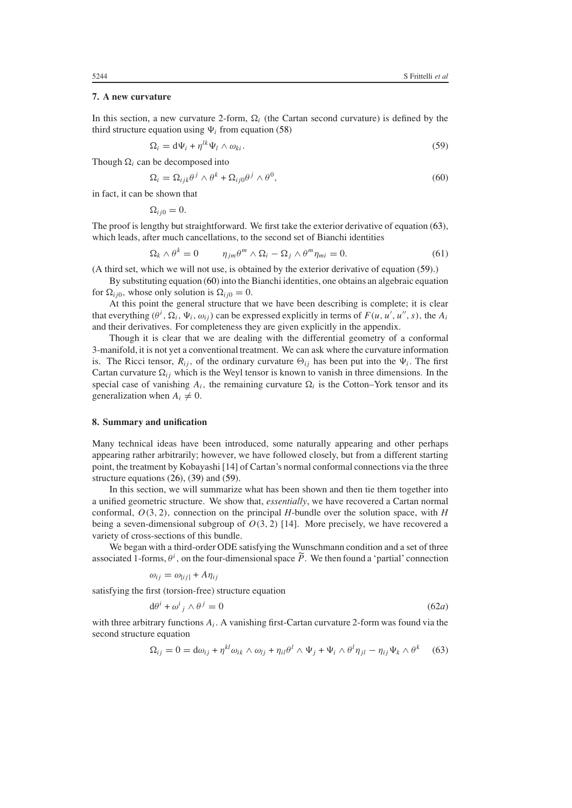## <span id="page-9-0"></span>**7. A new curvature**

<span id="page-9-3"></span>In this section, a new curvature 2-form,  $\Omega_i$  (the Cartan second curvature) is defined by the third structure equation using  $\Psi_i$  from equation [\(58\)](#page-8-0)

$$
\Omega_i = \mathrm{d}\Psi_i + \eta^{lk}\Psi_l \wedge \omega_{ki}.\tag{59}
$$

<span id="page-9-4"></span>Though  $\Omega_i$  can be decomposed into

$$
\Omega_i = \Omega_{ijk}\theta^j \wedge \theta^k + \Omega_{ij0}\theta^j \wedge \theta^0, \qquad (60)
$$

in fact, it can be shown that

 $\Omega_{ij0} = 0.$ 

The proof is lengthy but straightforward. We first take the exterior derivative of equation [\(63\)](#page-9-2), which leads, after much cancellations, to the second set of Bianchi identities

$$
\Omega_k \wedge \theta^k = 0 \qquad \eta_{jm}\theta^m \wedge \Omega_i - \Omega_j \wedge \theta^m \eta_{mi} = 0. \tag{61}
$$

(A third set, which we will not use, is obtained by the exterior derivative of equation [\(59\)](#page-9-3).)

By substituting equation [\(60\)](#page-9-4) into the Bianchi identities, one obtains an algebraic equation for  $\Omega_{ij0}$ , whose only solution is  $\Omega_{ij0} = 0$ .

At this point the general structure that we have been describing is complete; it is clear that everything  $(\theta^i, \Omega_i, \Psi_i, \omega_{ij})$  can be expressed explicitly in terms of  $F(u, u', u'', s)$ , the  $A_i$ <br>and their derivatives. For completeness they are given explicitly in the appendix and their derivatives. For completeness they are given explicitly in the appendix.

Though it is clear that we are dealing with the differential geometry of a conformal 3-manifold, it is not yet a conventional treatment. We can ask where the curvature information is. The Ricci tensor,  $R_{ij}$ , of the ordinary curvature  $\Theta_{ij}$  has been put into the  $\Psi_i$ . The first Cartan curvature  $\Omega_{ij}$  which is the Weyl tensor is known to vanish in three dimensions. In the special case of vanishing  $A_i$ , the remaining curvature  $\Omega_i$  is the Cotton–York tensor and its generalization when  $A_i \neq 0$ .

## <span id="page-9-1"></span>**8. Summary and unification**

Many technical ideas have been introduced, some naturally appearing and other perhaps appearing rather arbitrarily; however, we have followed closely, but from a different starting point, the treatment by Kobayashi [14] of Cartan's normal conformal connections via the three structure equations [\(26\)](#page-5-0), [\(39\)](#page-7-1) and [\(59\)](#page-9-3).

In this section, we will summarize what has been shown and then tie them together into a unified geometric structure. We show that, *essentially*, we have recovered a Cartan normal conformal, *O(*3*,* <sup>2</sup>*),* connection on the principal *<sup>H</sup>*-bundle over the solution space, with *<sup>H</sup>* being a seven-dimensional subgroup of  $O(3, 2)$  [14]. More precisely, we have recovered a variety of cross-sections of this bundle.

We began with a third-order ODE satisfying the Wunschmann condition and a set of three associated 1-forms,  $\theta^i$ , on the four-dimensional space *P*. We then found a 'partial' connection

$$
\omega_{ij} = \omega_{[ij]} + A\eta_{ij}
$$

<span id="page-9-5"></span>satisfying the first (torsion-free) structure equation

$$
d\theta' + \omega'_{j} \wedge \theta' = 0 \tag{62a}
$$

<span id="page-9-2"></span>with three arbitrary functions  $A_i$ . A vanishing first-Cartan curvature 2-form was found via the second structure equation

$$
\Omega_{ij} = 0 = d\omega_{ij} + \eta^{kl}\omega_{ik} \wedge \omega_{lj} + \eta_{il}\theta^l \wedge \Psi_j + \Psi_i \wedge \theta^l\eta_{jl} - \eta_{ij}\Psi_k \wedge \theta^k \tag{63}
$$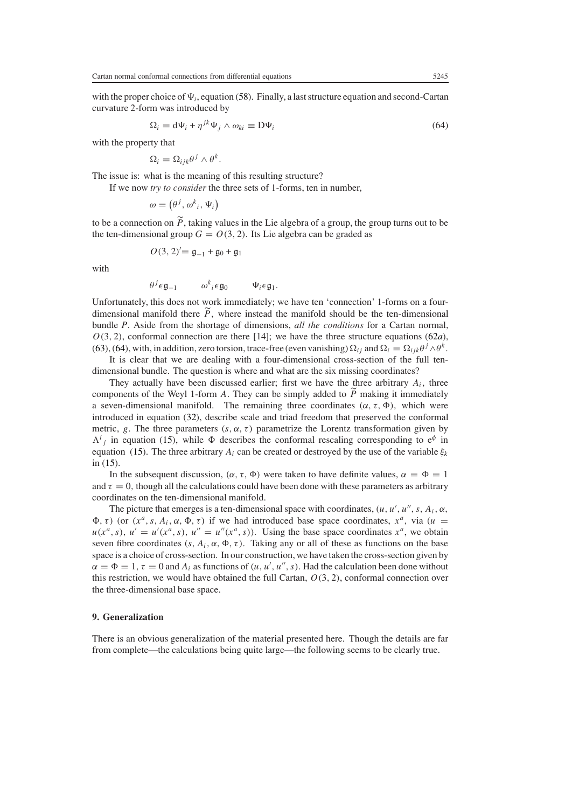<span id="page-10-1"></span>with the proper choice of  $\Psi_i$ , equation [\(58\)](#page-8-0). Finally, a last structure equation and second-Cartan curvature 2-form was introduced by

$$
\Omega_i = d\Psi_i + \eta^{jk}\Psi_j \wedge \omega_{ki} \equiv D\Psi_i \tag{64}
$$

with the property that

$$
\Omega_i = \Omega_{ijk}\theta^j \wedge \theta^k.
$$

The issue is: what is the meaning of this resulting structure?

If we now *try to consider* the three sets of 1-forms, ten in number,

$$
\omega = (\theta^j, \omega^k{}_i, \Psi_i)
$$

to be a connection on *P*, taking values in the Lie algebra of a group, the group turns out to be<br>the ten-dimensional group  $G = O(3, 2)$ . Its Lie algebra can be graded as the ten-dimensional group  $G = O(3, 2)$ . Its Lie algebra can be graded as

$$
O(3,2)' = \mathfrak{g}_{-1} + \mathfrak{g}_0 + \mathfrak{g}_1
$$

with

$$
\theta^j \epsilon \mathfrak{g}_{-1} \qquad \omega^k{}_i \epsilon \mathfrak{g}_0 \qquad \Psi_i \epsilon \mathfrak{g}_1.
$$

Unfortunately, this does not work immediately; we have ten 'connection' 1-forms on a fourdimensional manifold there  $\ddot{P}$ , where instead the manifold should be the ten-dimensional bundle *P*. Aside from the shortage of dimensions, *all the conditions* for a Cartan normal,  $O(3, 2)$ , conformal connection are there [14]; we have the three structure equations [\(62](#page-9-5)*a*), [\(63\)](#page-9-2), [\(64\)](#page-10-1), with, in addition, zero torsion, trace-free (even vanishing)  $\Omega_{ij}$  and  $\Omega_i = \Omega_{ijk}\theta^j \wedge \theta^k$ .

It is clear that we are dealing with a four-dimensional cross-section of the full tendimensional bundle. The question is where and what are the six missing coordinates?

They actually have been discussed earlier; first we have the three arbitrary *Ai,* three components of the Weyl 1-form *A*. They can be simply added to *P* making it immediately<br>a seven-dimensional manifold. The remaining three coordinates  $(\alpha \tau \Phi)$ , which were a seven-dimensional manifold. The remaining three coordinates  $(\alpha, \tau, \Phi)$ , which were introduced in equation [\(32\)](#page-5-2), describe scale and triad freedom that preserved the conformal metric, *g*. The three parameters  $(s, \alpha, \tau)$  parametrize the Lorentz transformation given by *i i* in equation [\(15\)](#page-3-2). The three arbitrary *A<sub>i</sub>* can be created or destroyed by the use of the variable  $\xi_k$ <br>
in (15). The three arbitrary *A<sub>i</sub>* can be created or destroyed by the use of the variable  $\xi_k$  $\Lambda^{i}$  in equation [\(15\)](#page-3-2), while  $\Phi$  describes the conformal rescaling corresponding to  $e^{\phi}$  in in [\(15\)](#page-3-2).

In the subsequent discussion,  $(\alpha, \tau, \Phi)$  were taken to have definite values,  $\alpha = \Phi = 1$ and  $\tau = 0$ , though all the calculations could have been done with these parameters as arbitrary coordinates on the ten-dimensional manifold.

The picture that emerges is a ten-dimensional space with coordinates,  $(u, u', u'', s, A_i, \alpha, \alpha)$  (or  $(x^a, s, A, \alpha, \Phi, \tau)$ ) if we had introduced base space coordinates,  $x^a$ , via  $(u, \tau)$  $\Phi$ , *τ*) (or (*x<sup><i>a*</sup>, *s*, *A<sub>i</sub>*, *α*,  $\Phi$ , *τ*) if we had introduced base space coordinates, *x<sup><i>a*</sup>, via (*u* =  $u(x^a, s)$ ,  $u' = u'(x^a, s)$ ,  $u'' = u''(x^a, s)$ ). Using the base space coordinates  $x^a$ , we obtain seven fibre coordinates (s. *A*.  $\alpha$ , **b**. *z*). Taking any or all of these as functions on the base seven fibre coordinates  $(s, A_i, \alpha, \Phi, \tau)$ . Taking any or all of these as functions on the base space is a choice of cross-section. In our construction, we have taken the cross-section given by  $\alpha = \Phi = 1$ ,  $\tau = 0$  and  $A_i$  as functions of  $(u, u', u'', s)$ . Had the calculation been done without this restriction we would have obtained the full Cartan  $Q(3, 2)$  conformal connection over this restriction, we would have obtained the full Cartan, *O(*3*,* <sup>2</sup>*)*, conformal connection over the three-dimensional base space.

## <span id="page-10-0"></span>**9. Generalization**

There is an obvious generalization of the material presented here. Though the details are far from complete—the calculations being quite large—the following seems to be clearly true.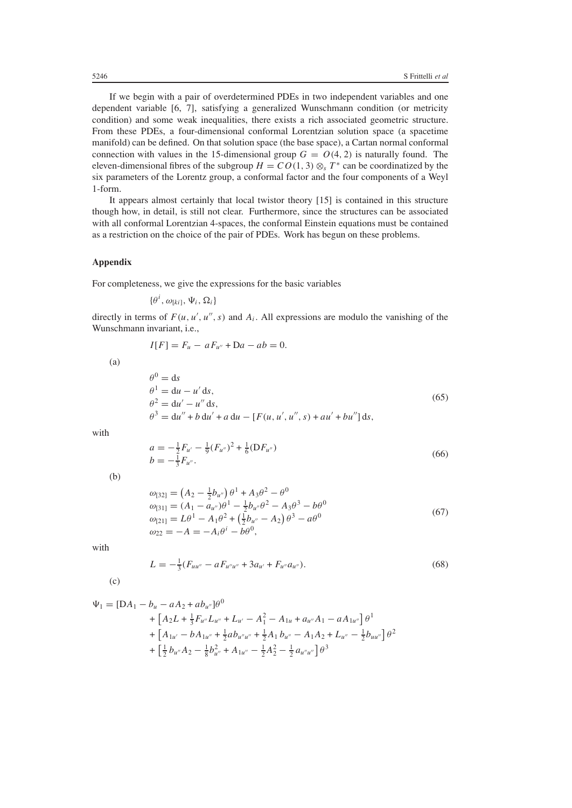If we begin with a pair of overdetermined PDEs in two independent variables and one dependent variable [6, 7], satisfying a generalized Wunschmann condition (or metricity condition) and some weak inequalities, there exists a rich associated geometric structure. From these PDEs, a four-dimensional conformal Lorentzian solution space (a spacetime manifold) can be defined. On that solution space (the base space), a Cartan normal conformal connection with values in the 15-dimensional group  $G = O(4, 2)$  is naturally found. The eleven-dimensional fibres of the subgroup  $H = CO(1, 3) \otimes_{s} T^{*}$  can be coordinatized by the six parameters of the Lorentz group, a conformal factor and the four components of a Weyl 1-form.

It appears almost certainly that local twistor theory [15] is contained in this structure though how, in detail, is still not clear. Furthermore, since the structures can be associated with all conformal Lorentzian 4-spaces, the conformal Einstein equations must be contained as a restriction on the choice of the pair of PDEs. Work has begun on these problems.

## **Appendix**

For completeness, we give the expressions for the basic variables

$$
\{\theta^i, \omega_{[ki]}, \Psi_i, \Omega_i\}
$$

directly in terms of  $F(u, u', u'', s)$  and  $A_i$ . All expressions are modulo the vanishing of the Wunschmann invariant i.e. Wunschmann invariant, i.e.,

$$
I[F] = F_u - aF_{u''} + Da - ab = 0.
$$

(a)

$$
\theta^{0} = ds \n\theta^{1} = du - u' ds, \n\theta^{2} = du' - u'' ds, \n\theta^{3} = du'' + b du' + a du - [F(u, u', u'', s) + au' + bu''] ds,
$$
\n(65)

with

$$
a = -\frac{1}{2}F_{u'} - \frac{1}{9}(F_{u''})^2 + \frac{1}{6}(DF_{u''})
$$
  
\n
$$
b = -\frac{1}{3}F_{u''}.
$$
\n(66)

(b)

$$
\begin{aligned}\n\omega_{[32]} &= \left(A_2 - \frac{1}{2}b_{u''}\right)\theta^1 + A_3\theta^2 - \theta^0 \\
\omega_{[31]} &= (A_1 - a_{u''})\theta^1 - \frac{1}{2}b_{u''}\theta^2 - A_3\theta^3 - b\theta^0 \\
\omega_{[21]} &= L\theta^1 - A_1\theta^2 + \left(\frac{1}{2}b_{u''} - A_2\right)\theta^3 - a\theta^0 \\
\omega_{22} &= -A = -A_i\theta^i - b\theta^0,\n\end{aligned}\n\tag{67}
$$

with

$$
L = -\frac{1}{3}(F_{uu''} - aF_{u''u''} + 3a_{u'} + F_{u''}a_{u''}).
$$
\n(68)

(c)

$$
\Psi_{1} = [\text{DA}_{1} - b_{u} - aA_{2} + ab_{u''}] \theta^{0}
$$
\n
$$
+ [A_{2}L + \frac{1}{3}F_{u''}L_{u''} + L_{u'} - A_{1}^{2} - A_{1u} + a_{u''}A_{1} - aA_{1u''}] \theta^{1}
$$
\n
$$
+ [A_{1u'} - bA_{1u''} + \frac{1}{2}ab_{u''u''} + \frac{1}{2}A_{1}b_{u''} - A_{1}A_{2} + L_{u''} - \frac{1}{2}b_{uu''}] \theta^{2}
$$
\n
$$
+ [\frac{1}{2}b_{u''}A_{2} - \frac{1}{8}b_{u''}^{2} + A_{1u''} - \frac{1}{2}A_{2}^{2} - \frac{1}{2}a_{u''u''}] \theta^{3}
$$